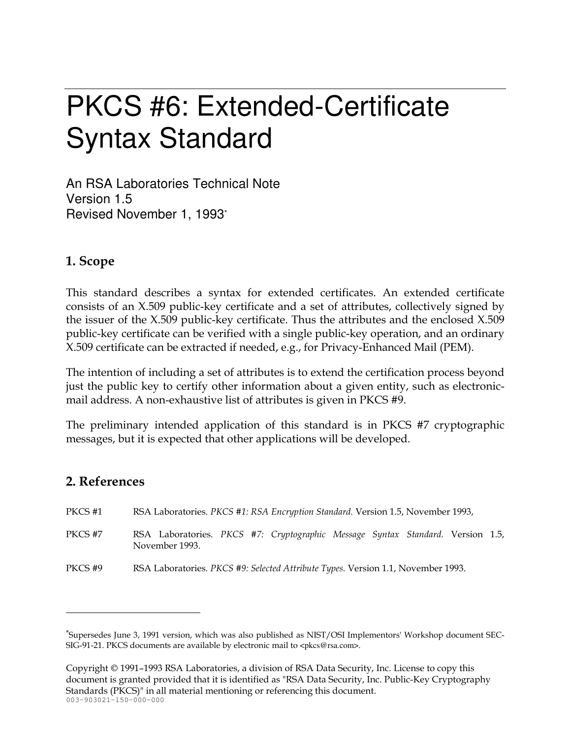# **PKCS #6: Extended-Certificate Syntax Standard**

An RSA Laboratories Technical Note Version 1.5 Revised November 1, 1993\*

## 1. Scope

This standard describes a syntax for extended certificates. An extended certificate consists of an X.509 public-key certificate and a set of attributes, collectively signed by the issuer of the X.509 public-key certificate. Thus the attributes and the enclosed X.509 public-key certificate can be verified with a single public-key operation, and an ordinary X.509 certificate can be extracted if needed, e.g., for Privacy-Enhanced Mail (PEM).

The intention of including a set of attributes is to extend the certification process beyond just the public key to certify other information about a given entity, such as electronicmail address. A non-exhaustive list of attributes is given in PKCS #9.

The preliminary intended application of this standard is in PKCS #7 cryptographic messages, but it is expected that other applications will be developed.

## 2. References

- PKCS<sub>#1</sub> RSA Laboratories. PKCS #1: RSA Encryption Standard. Version 1.5, November 1993,
- PKCS #7 RSA Laboratories. PKCS #7: Cryptographic Message Syntax Standard. Version 1.5, November 1993.
- PKCS#9 RSA Laboratories. PKCS #9: Selected Attribute Types. Version 1.1, November 1993.

Copyright © 1991–1993 RSA Laboratories, a division of RSA Data Security, Inc. License to copy this document is granted provided that it is identified as "RSA Data Security, Inc. Public-Key Cryptography Standards (PKCS)" in all material mentioning or referencing this document.  $003 - 903021 - 150 - 000 - 000$ 

<sup>\*</sup>Supersedes June 3, 1991 version, which was also published as NIST/OSI Implementors' Workshop document SEC-SIG-91-21. PKCS documents are available by electronic mail to <pkcs@rsa.com>.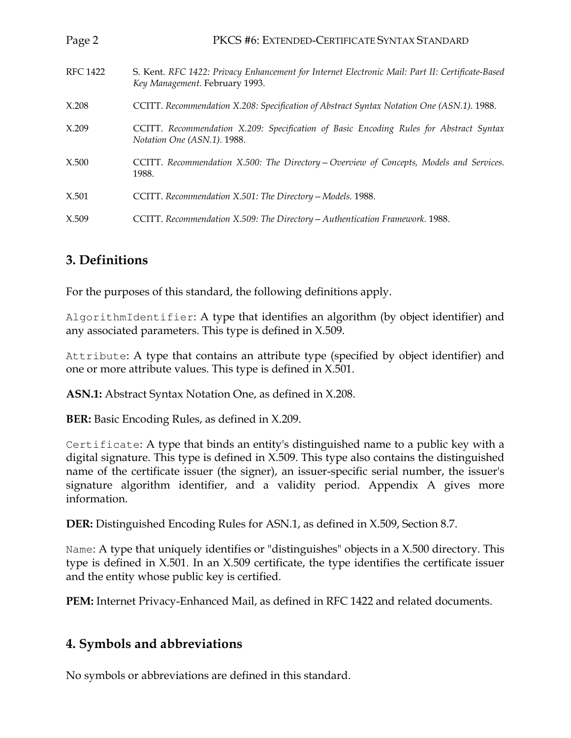| Page 2          | PKCS #6: EXTENDED-CERTIFICATE SYNTAX STANDARD                                                                                     |
|-----------------|-----------------------------------------------------------------------------------------------------------------------------------|
| <b>RFC 1422</b> | S. Kent. RFC 1422: Privacy Enhancement for Internet Electronic Mail: Part II: Certificate-Based<br>Key Management. February 1993. |
| X.208           | CCITT. Recommendation X.208: Specification of Abstract Syntax Notation One (ASN.1). 1988.                                         |
| X.209           | CCITT. Recommendation X.209: Specification of Basic Encoding Rules for Abstract Syntax<br>Notation One (ASN.1). 1988.             |
| X.500           | CCITT. Recommendation X.500: The Directory - Overview of Concepts, Models and Services.<br>1988.                                  |
| X.501           | CCITT. Recommendation X.501: The Directory - Models. 1988.                                                                        |
| X.509           | CCITT. Recommendation X.509: The Directory - Authentication Framework. 1988.                                                      |

# 3. Definitions

For the purposes of this standard, the following definitions apply.

AlgorithmIdentifier: A type that identifies an algorithm (by object identifier) and any associated parameters. This type is defined in X.509.

Attribute: A type that contains an attribute type (specified by object identifier) and one or more attribute values. This type is defined in X.501.

ASN.1: Abstract Syntax Notation One, as defined in X.208.

**BER:** Basic Encoding Rules, as defined in X.209.

Certificate: A type that binds an entity's distinguished name to a public key with a digital signature. This type is defined in X.509. This type also contains the distinguished name of the certificate issuer (the signer), an issuer-specific serial number, the issuer's signature algorithm identifier, and a validity period. Appendix A gives more information

**DER:** Distinguished Encoding Rules for ASN.1, as defined in X.509, Section 8.7.

Name: A type that uniquely identifies or "distinguishes" objects in a X.500 directory. This type is defined in X.501. In an X.509 certificate, the type identifies the certificate issuer and the entity whose public key is certified.

PEM: Internet Privacy-Enhanced Mail, as defined in RFC 1422 and related documents.

## 4. Symbols and abbreviations

No symbols or abbreviations are defined in this standard.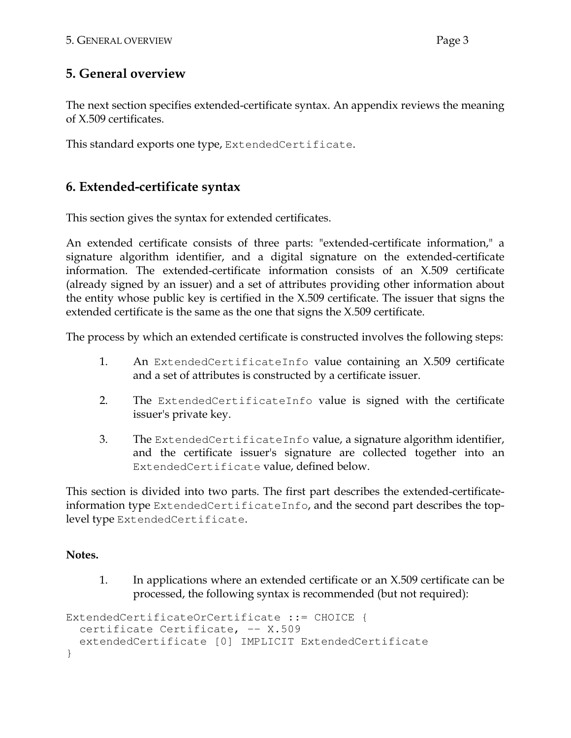## 5. General overview

The next section specifies extended-certificate syntax. An appendix reviews the meaning of X.509 certificates.

This standard exports one type, Extended Certificate.

# 6. Extended-certificate syntax

This section gives the syntax for extended certificates.

An extended certificate consists of three parts: "extended-certificate information," a signature algorithm identifier, and a digital signature on the extended-certificate information. The extended-certificate information consists of an X.509 certificate (already signed by an issuer) and a set of attributes providing other information about the entity whose public key is certified in the X.509 certificate. The issuer that signs the extended certificate is the same as the one that signs the X.509 certificate.

The process by which an extended certificate is constructed involves the following steps:

- 1. An ExtendedCertificateInfo value containing an X.509 certificate and a set of attributes is constructed by a certificate issuer.
- $2.$ The ExtendedCertificateInfo value is signed with the certificate issuer's private key.
- 3. The Extended Certificate Info value, a signature algorithm identifier, and the certificate issuer's signature are collected together into an ExtendedCertificate value, defined below.

This section is divided into two parts. The first part describes the extended-certificateinformation type ExtendedCertificateInfo, and the second part describes the toplevel type ExtendedCertificate.

## Notes.

1. In applications where an extended certificate or an X.509 certificate can be processed, the following syntax is recommended (but not required):

```
ExtendedCertificateOrCertificate ::= CHOICE {
  certificate Certificate, -- X.509
  extendedCertificate [0] IMPLICIT ExtendedCertificate
\mathcal{E}
```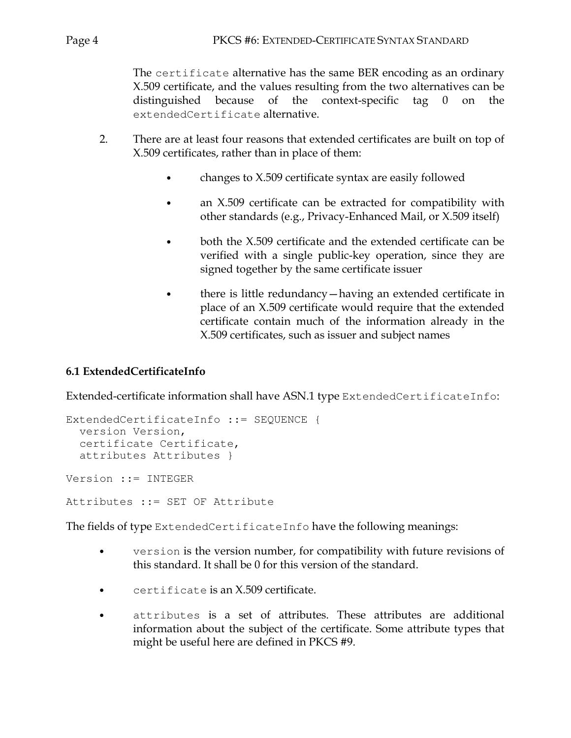The certificate alternative has the same BER encoding as an ordinary X.509 certificate, and the values resulting from the two alternatives can be distinguished because of the context-specific tag  $\overline{0}$ on the extendedCertificate alternative.

- $2.$ There are at least four reasons that extended certificates are built on top of X.509 certificates, rather than in place of them:
	- changes to X.509 certificate syntax are easily followed  $\bullet$
	- an X.509 certificate can be extracted for compatibility with  $\bullet$ other standards (e.g., Privacy-Enhanced Mail, or X.509 itself)
	- both the X.509 certificate and the extended certificate can be  $\bullet$ verified with a single public-key operation, since they are signed together by the same certificate issuer
	- there is little redundancy-having an extended certificate in  $\bullet$ place of an X.509 certificate would require that the extended certificate contain much of the information already in the X.509 certificates, such as issuer and subject names

#### 6.1 ExtendedCertificateInfo

Extended-certificate information shall have ASN.1 type ExtendedCertificateInfo:

```
ExtendedCertificateInfo ::= SEQUENCE {
  version Version,
  certificate Certificate,
  attributes Attributes }
Version ::= INTEGER
Attributes ::= SET OF Attribute
```
The fields of type Extended Certificate Info have the following meanings:

- $\bullet$ version is the version number, for compatibility with future revisions of this standard. It shall be 0 for this version of the standard.
- certificate is an X.509 certificate.
- attributes is a set of attributes. These attributes are additional information about the subject of the certificate. Some attribute types that might be useful here are defined in PKCS #9.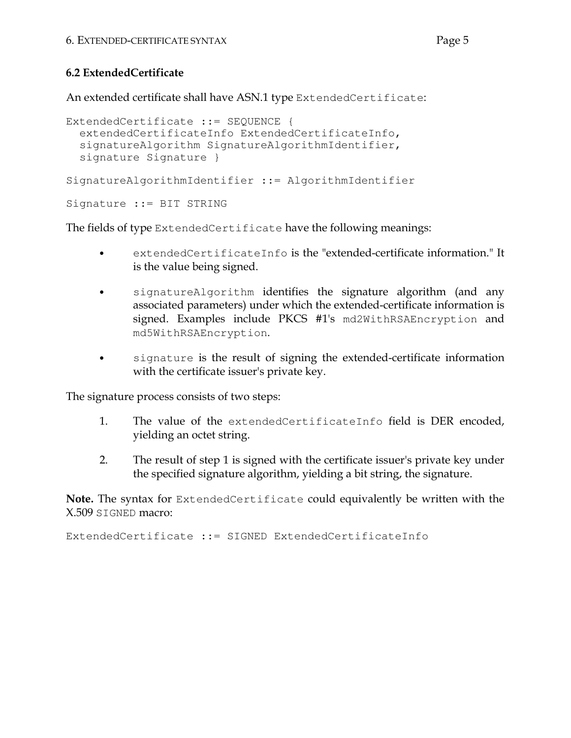#### 6.2 ExtendedCertificate

An extended certificate shall have ASN.1 type ExtendedCertificate:

```
ExtendedCertificate ::= SEQUENCE {
  extendedCertificateInfo ExtendedCertificateInfo,
  signatureAlgorithm SignatureAlgorithmIdentifier,
  signature Signature }
SignatureAlgorithmIdentifier ::= AlgorithmIdentifier
Signature ::= BIT STRING
```
The fields of type Extended Certificate have the following meanings:

- extendedCertificateInfo is the "extended-certificate information." It is the value being signed.
- signatureAlgorithm identifies the signature algorithm (and any  $\bullet$ associated parameters) under which the extended-certificate information is signed. Examples include PKCS #1's md2WithRSAEncryption and md5WithRSAEncryption.
- signature is the result of signing the extended-certificate information  $\bullet$ with the certificate issuer's private key.

The signature process consists of two steps:

- 1. The value of the extended Certificate Info field is DER encoded, yielding an octet string.
- $2.$ The result of step 1 is signed with the certificate issuer's private key under the specified signature algorithm, yielding a bit string, the signature.

**Note.** The syntax for ExtendedCertificate could equivalently be written with the X.509 SIGNED macro:

ExtendedCertificate ::= SIGNED ExtendedCertificateInfo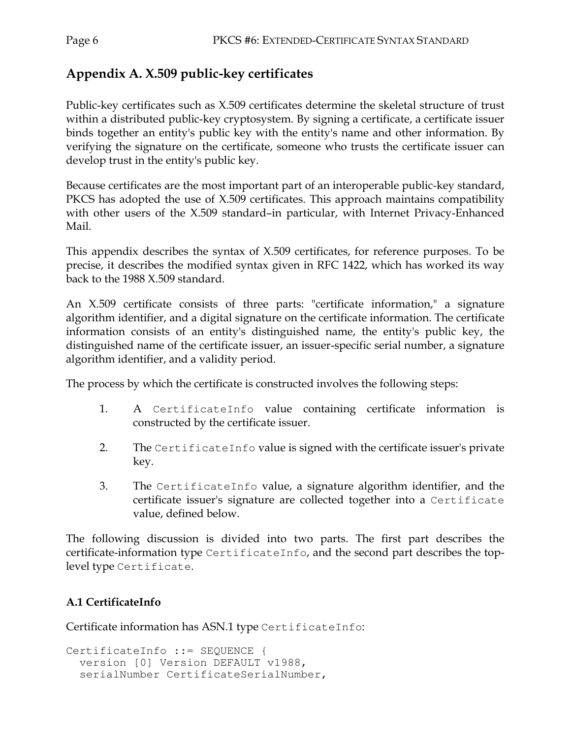# Appendix A. X.509 public-key certificates

Public-key certificates such as X.509 certificates determine the skeletal structure of trust within a distributed public-key cryptosystem. By signing a certificate, a certificate issuer binds together an entity's public key with the entity's name and other information. By verifying the signature on the certificate, someone who trusts the certificate issuer can develop trust in the entity's public key.

Because certificates are the most important part of an interoperable public-key standard, PKCS has adopted the use of X.509 certificates. This approach maintains compatibility with other users of the X.509 standard-in particular, with Internet Privacy-Enhanced Mail.

This appendix describes the syntax of X.509 certificates, for reference purposes. To be precise, it describes the modified syntax given in RFC 1422, which has worked its way back to the 1988 X.509 standard.

An X.509 certificate consists of three parts: "certificate information," a signature algorithm identifier, and a digital signature on the certificate information. The certificate information consists of an entity's distinguished name, the entity's public key, the distinguished name of the certificate issuer, an issuer-specific serial number, a signature algorithm identifier, and a validity period.

The process by which the certificate is constructed involves the following steps:

- 1. A CertificateInfo value containing certificate information is constructed by the certificate issuer.
- $2.$ The CertificateInfo value is signed with the certificate issuer's private key.
- 3. The CertificateInfo value, a signature algorithm identifier, and the certificate issuer's signature are collected together into a Certificate value, defined below.

The following discussion is divided into two parts. The first part describes the certificate-information type CertificateInfo, and the second part describes the toplevel type Certificate.

## A.1 CertificateInfo

Certificate information has ASN.1 type CertificateInfo:

```
CertificateInfo ::= SEQUENCE {
  version [0] Version DEFAULT v1988,
  serialNumber CertificateSerialNumber,
```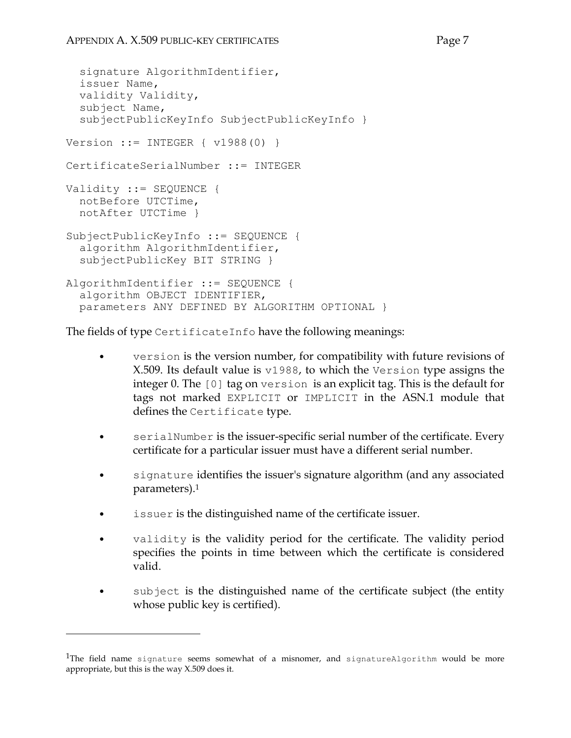```
signature AlgorithmIdentifier,
  issuer Name,
  validity Validity,
  subject Name,
  subjectPublicKeyInfo SubjectPublicKeyInfo }
Version ::= INTEGER { v1988(0) }
CertificateSerialNumber ::= INTEGER
Validity ::= SEQUENCE {
  notBefore UTCTime,
 notAfter UTCTime }
SubjectPublicKeyInfo ::= SEQUENCE {
  algorithm AlgorithmIdentifier,
  subjectPublicKey BIT STRING }
AlgorithmIdentifier ::= SEQUENCE {
  algorithm OBJECT IDENTIFIER,
  parameters ANY DEFINED BY ALGORITHM OPTIONAL }
```
The fields of type CertificateInfo have the following meanings:

- version is the version number, for compatibility with future revisions of X.509. Its default value is v1988, to which the Version type assigns the integer 0. The  $[0]$  tag on version is an explicit tag. This is the default for tags not marked EXPLICIT or IMPLICIT in the ASN.1 module that defines the Certificate type.
- serialNumber is the issuer-specific serial number of the certificate. Every  $\bullet$ certificate for a particular issuer must have a different serial number.
- signature identifies the issuer's signature algorithm (and any associated parameters).<sup>1</sup>
- issuer is the distinguished name of the certificate issuer.
- validity is the validity period for the certificate. The validity period specifies the points in time between which the certificate is considered valid
- subject is the distinguished name of the certificate subject (the entity whose public key is certified).

<sup>&</sup>lt;sup>1</sup>The field name signature seems somewhat of a misnomer, and signature Algorithm would be more appropriate, but this is the way X.509 does it.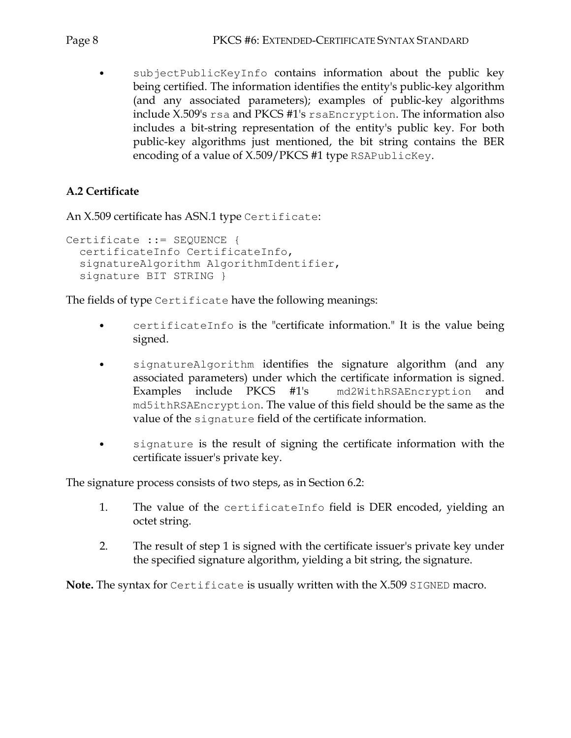subjectPublicKeyInfo contains information about the public key being certified. The information identifies the entity's public-key algorithm (and any associated parameters); examples of public-key algorithms include  $X.509$ 's  $rsa$  and PKCS #1's  $rsaEncryption$ . The information also includes a bit-string representation of the entity's public key. For both public-key algorithms just mentioned, the bit string contains the BER encoding of a value of X.509/PKCS #1 type RSAPublicKey.

### A.2 Certificate

An X.509 certificate has ASN.1 type Certificate:

```
Certificate ::= SEQUENCE {
  certificateInfo CertificateInfo,
  signatureAlgorithm AlgorithmIdentifier,
  signature BIT STRING }
```
The fields of type Certificate have the following meanings:

- certificateInfo is the "certificate information." It is the value being signed.
- signatureAlgorithm identifies the signature algorithm (and any  $\bullet$ associated parameters) under which the certificate information is signed. Examples include PKCS #1's md2WithRSAEncryption and md5ithRSAEncryption. The value of this field should be the same as the value of the signature field of the certificate information.
- signature is the result of signing the certificate information with the certificate issuer's private key.

The signature process consists of two steps, as in Section 6.2:

- $1.$ The value of the certificateInfo field is DER encoded, yielding an octet string.
- 2. The result of step 1 is signed with the certificate issuer's private key under the specified signature algorithm, yielding a bit string, the signature.

**Note.** The syntax for Certificate is usually written with the X.509 SIGNED macro.